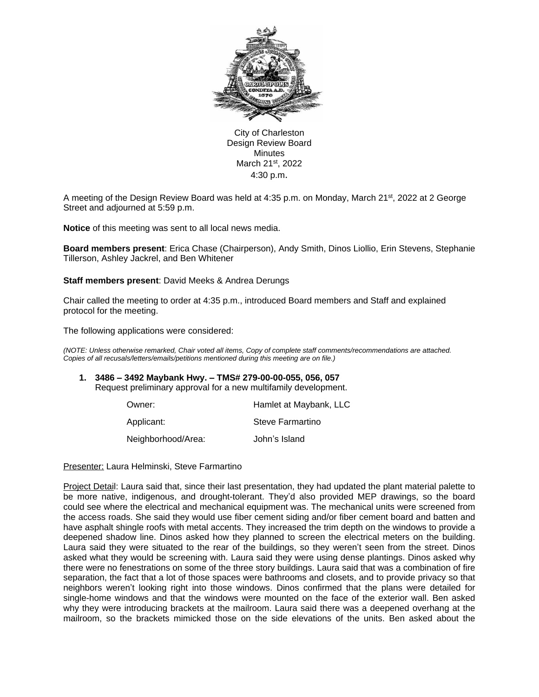

City of Charleston Design Review Board Minutes March 21st, 2022 4:30 p.m.

A meeting of the Design Review Board was held at 4:35 p.m. on Monday, March 21st, 2022 at 2 George Street and adjourned at 5:59 p.m.

**Notice** of this meeting was sent to all local news media.

**Board members present**: Erica Chase (Chairperson), Andy Smith, Dinos Liollio, Erin Stevens, Stephanie Tillerson, Ashley Jackrel, and Ben Whitener

**Staff members present**: David Meeks & Andrea Derungs

Chair called the meeting to order at 4:35 p.m., introduced Board members and Staff and explained protocol for the meeting.

The following applications were considered:

*(NOTE: Unless otherwise remarked, Chair voted all items, Copy of complete staff comments/recommendations are attached. Copies of all recusals/letters/emails/petitions mentioned during this meeting are on file.)* 

# **1. 3486 – 3492 Maybank Hwy. – TMS# 279-00-00-055, 056, 057**

Request preliminary approval for a new multifamily development.

| Owner:             | Hamlet at Maybank, LLC |
|--------------------|------------------------|
| Applicant:         | Steve Farmartino       |
| Neighborhood/Area: | John's Island          |

Presenter: Laura Helminski, Steve Farmartino

Project Detail: Laura said that, since their last presentation, they had updated the plant material palette to be more native, indigenous, and drought-tolerant. They'd also provided MEP drawings, so the board could see where the electrical and mechanical equipment was. The mechanical units were screened from the access roads. She said they would use fiber cement siding and/or fiber cement board and batten and have asphalt shingle roofs with metal accents. They increased the trim depth on the windows to provide a deepened shadow line. Dinos asked how they planned to screen the electrical meters on the building. Laura said they were situated to the rear of the buildings, so they weren't seen from the street. Dinos asked what they would be screening with. Laura said they were using dense plantings. Dinos asked why there were no fenestrations on some of the three story buildings. Laura said that was a combination of fire separation, the fact that a lot of those spaces were bathrooms and closets, and to provide privacy so that neighbors weren't looking right into those windows. Dinos confirmed that the plans were detailed for single-home windows and that the windows were mounted on the face of the exterior wall. Ben asked why they were introducing brackets at the mailroom. Laura said there was a deepened overhang at the mailroom, so the brackets mimicked those on the side elevations of the units. Ben asked about the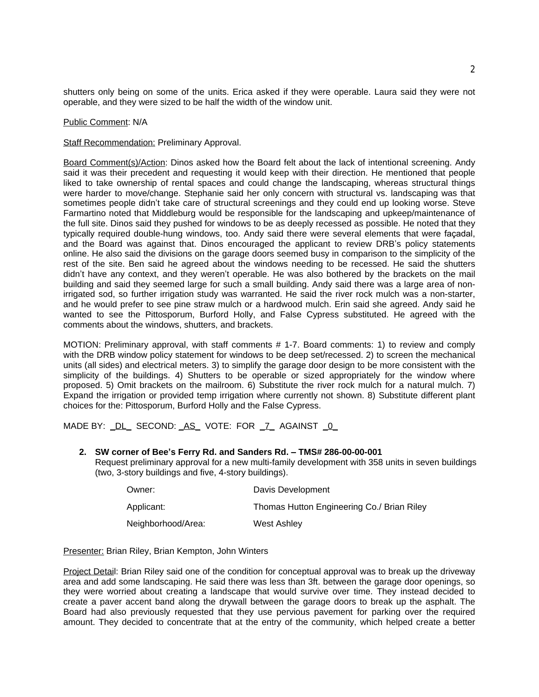shutters only being on some of the units. Erica asked if they were operable. Laura said they were not operable, and they were sized to be half the width of the window unit.

#### Public Comment: N/A

**Staff Recommendation: Preliminary Approval.** 

Board Comment(s)/Action: Dinos asked how the Board felt about the lack of intentional screening. Andy said it was their precedent and requesting it would keep with their direction. He mentioned that people liked to take ownership of rental spaces and could change the landscaping, whereas structural things were harder to move/change. Stephanie said her only concern with structural vs. landscaping was that sometimes people didn't take care of structural screenings and they could end up looking worse. Steve Farmartino noted that Middleburg would be responsible for the landscaping and upkeep/maintenance of the full site. Dinos said they pushed for windows to be as deeply recessed as possible. He noted that they typically required double-hung windows, too. Andy said there were several elements that were façadal, and the Board was against that. Dinos encouraged the applicant to review DRB's policy statements online. He also said the divisions on the garage doors seemed busy in comparison to the simplicity of the rest of the site. Ben said he agreed about the windows needing to be recessed. He said the shutters didn't have any context, and they weren't operable. He was also bothered by the brackets on the mail building and said they seemed large for such a small building. Andy said there was a large area of nonirrigated sod, so further irrigation study was warranted. He said the river rock mulch was a non-starter, and he would prefer to see pine straw mulch or a hardwood mulch. Erin said she agreed. Andy said he wanted to see the Pittosporum, Burford Holly, and False Cypress substituted. He agreed with the comments about the windows, shutters, and brackets.

MOTION: Preliminary approval, with staff comments # 1-7. Board comments: 1) to review and comply with the DRB window policy statement for windows to be deep set/recessed. 2) to screen the mechanical units (all sides) and electrical meters. 3) to simplify the garage door design to be more consistent with the simplicity of the buildings. 4) Shutters to be operable or sized appropriately for the window where proposed. 5) Omit brackets on the mailroom. 6) Substitute the river rock mulch for a natural mulch. 7) Expand the irrigation or provided temp irrigation where currently not shown. 8) Substitute different plant choices for the: Pittosporum, Burford Holly and the False Cypress.

MADE BY: \_DL\_ SECOND: \_AS\_ VOTE: FOR \_7\_ AGAINST \_0\_

## **2. SW corner of Bee's Ferry Rd. and Sanders Rd. – TMS# 286-00-00-001**

Request preliminary approval for a new multi-family development with 358 units in seven buildings (two, 3-story buildings and five, 4-story buildings).

| Owner:             | Davis Development                          |
|--------------------|--------------------------------------------|
| Applicant:         | Thomas Hutton Engineering Co./ Brian Riley |
| Neighborhood/Area: | West Ashley                                |

Presenter: Brian Riley, Brian Kempton, John Winters

Project Detail: Brian Riley said one of the condition for conceptual approval was to break up the driveway area and add some landscaping. He said there was less than 3ft. between the garage door openings, so they were worried about creating a landscape that would survive over time. They instead decided to create a paver accent band along the drywall between the garage doors to break up the asphalt. The Board had also previously requested that they use pervious pavement for parking over the required amount. They decided to concentrate that at the entry of the community, which helped create a better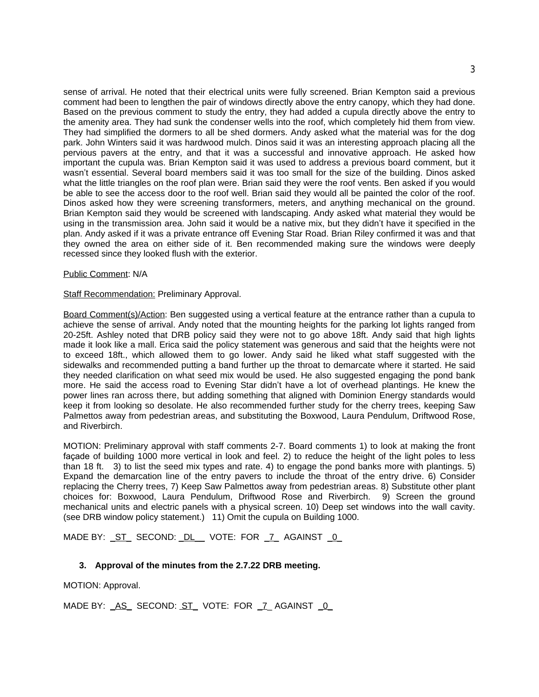sense of arrival. He noted that their electrical units were fully screened. Brian Kempton said a previous comment had been to lengthen the pair of windows directly above the entry canopy, which they had done. Based on the previous comment to study the entry, they had added a cupula directly above the entry to the amenity area. They had sunk the condenser wells into the roof, which completely hid them from view. They had simplified the dormers to all be shed dormers. Andy asked what the material was for the dog park. John Winters said it was hardwood mulch. Dinos said it was an interesting approach placing all the pervious pavers at the entry, and that it was a successful and innovative approach. He asked how important the cupula was. Brian Kempton said it was used to address a previous board comment, but it wasn't essential. Several board members said it was too small for the size of the building. Dinos asked what the little triangles on the roof plan were. Brian said they were the roof vents. Ben asked if you would be able to see the access door to the roof well. Brian said they would all be painted the color of the roof. Dinos asked how they were screening transformers, meters, and anything mechanical on the ground. Brian Kempton said they would be screened with landscaping. Andy asked what material they would be using in the transmission area. John said it would be a native mix, but they didn't have it specified in the plan. Andy asked if it was a private entrance off Evening Star Road. Brian Riley confirmed it was and that they owned the area on either side of it. Ben recommended making sure the windows were deeply recessed since they looked flush with the exterior.

#### Public Comment: N/A

#### **Staff Recommendation: Preliminary Approval.**

Board Comment(s)/Action: Ben suggested using a vertical feature at the entrance rather than a cupula to achieve the sense of arrival. Andy noted that the mounting heights for the parking lot lights ranged from 20-25ft. Ashley noted that DRB policy said they were not to go above 18ft. Andy said that high lights made it look like a mall. Erica said the policy statement was generous and said that the heights were not to exceed 18ft., which allowed them to go lower. Andy said he liked what staff suggested with the sidewalks and recommended putting a band further up the throat to demarcate where it started. He said they needed clarification on what seed mix would be used. He also suggested engaging the pond bank more. He said the access road to Evening Star didn't have a lot of overhead plantings. He knew the power lines ran across there, but adding something that aligned with Dominion Energy standards would keep it from looking so desolate. He also recommended further study for the cherry trees, keeping Saw Palmettos away from pedestrian areas, and substituting the Boxwood, Laura Pendulum, Driftwood Rose, and Riverbirch.

MOTION: Preliminary approval with staff comments 2-7. Board comments 1) to look at making the front façade of building 1000 more vertical in look and feel. 2) to reduce the height of the light poles to less than 18 ft. 3) to list the seed mix types and rate. 4) to engage the pond banks more with plantings. 5) Expand the demarcation line of the entry pavers to include the throat of the entry drive. 6) Consider replacing the Cherry trees, 7) Keep Saw Palmettos away from pedestrian areas. 8) Substitute other plant choices for: Boxwood, Laura Pendulum, Driftwood Rose and Riverbirch. 9) Screen the ground mechanical units and electric panels with a physical screen. 10) Deep set windows into the wall cavity. (see DRB window policy statement.) 11) Omit the cupula on Building 1000.

MADE BY: ST\_SECOND: DL\_VOTE: FOR 7\_AGAINST 0

### **3. Approval of the minutes from the 2.7.22 DRB meeting.**

MOTION: Approval.

MADE BY: \_AS\_ SECOND: ST\_ VOTE: FOR \_7\_ AGAINST \_0\_